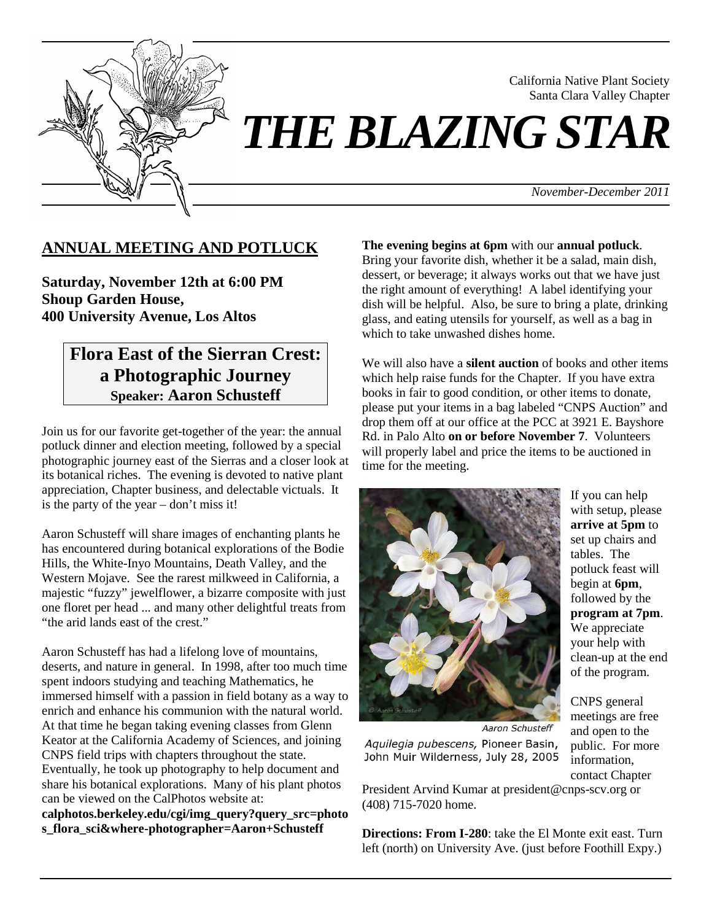

California Native Plant Society Santa Clara Valley Chapter

# *THE BLAZING STAR*

*November-December 2011*

## **ANNUAL MEETING AND POTLUCK**

**Saturday, November 12th at 6:00 PM Shoup Garden House, 400 University Avenue, Los Altos** 

# **Flora East of the Sierran Crest: a Photographic Journey Speaker: Aaron Schusteff**

Join us for our favorite get-together of the year: the annual potluck dinner and election meeting, followed by a special photographic journey east of the Sierras and a closer look at its botanical riches. The evening is devoted to native plant appreciation, Chapter business, and delectable victuals. It is the party of the year – don't miss it!

Aaron Schusteff will share images of enchanting plants he has encountered during botanical explorations of the Bodie Hills, the White-Inyo Mountains, Death Valley, and the Western Mojave. See the rarest milkweed in California, a majestic "fuzzy" jewelflower, a bizarre composite with just one floret per head ... and many other delightful treats from "the arid lands east of the crest."

Aaron Schusteff has had a lifelong love of mountains, deserts, and nature in general. In 1998, after too much time spent indoors studying and teaching Mathematics, he immersed himself with a passion in field botany as a way to enrich and enhance his communion with the natural world. At that time he began taking evening classes from Glenn Keator at the California Academy of Sciences, and joining CNPS field trips with chapters throughout the state. Eventually, he took up photography to help document and share his botanical explorations. Many of his plant photos can be viewed on the CalPhotos website at:

**calphotos.berkeley.edu/cgi/img\_query?query\_src=photo s\_flora\_sci&where-photographer=Aaron+Schusteff** 

#### **The evening begins at 6pm** with our **annual potluck**.

Bring your favorite dish, whether it be a salad, main dish, dessert, or beverage; it always works out that we have just the right amount of everything! A label identifying your dish will be helpful. Also, be sure to bring a plate, drinking glass, and eating utensils for yourself, as well as a bag in which to take unwashed dishes home.

We will also have a **silent auction** of books and other items which help raise funds for the Chapter. If you have extra books in fair to good condition, or other items to donate, please put your items in a bag labeled "CNPS Auction" and drop them off at our office at the PCC at 3921 E. Bayshore Rd. in Palo Alto **on or before November 7**. Volunteers will properly label and price the items to be auctioned in time for the meeting.



If you can help with setup, please **arrive at 5pm** to set up chairs and tables. The potluck feast will begin at **6pm**, followed by the **program at 7pm**. We appreciate your help with clean-up at the end of the program.

Aaron Schusteff Aquilegia pubescens, Pioneer Basin, John Muir Wilderness, July 28, 2005

CNPS general meetings are free and open to the public. For more information, contact Chapter

President Arvind Kumar at president@cnps-scv.org or (408) 715-7020 home.

**Directions: From I-280**: take the El Monte exit east. Turn left (north) on University Ave. (just before Foothill Expy.)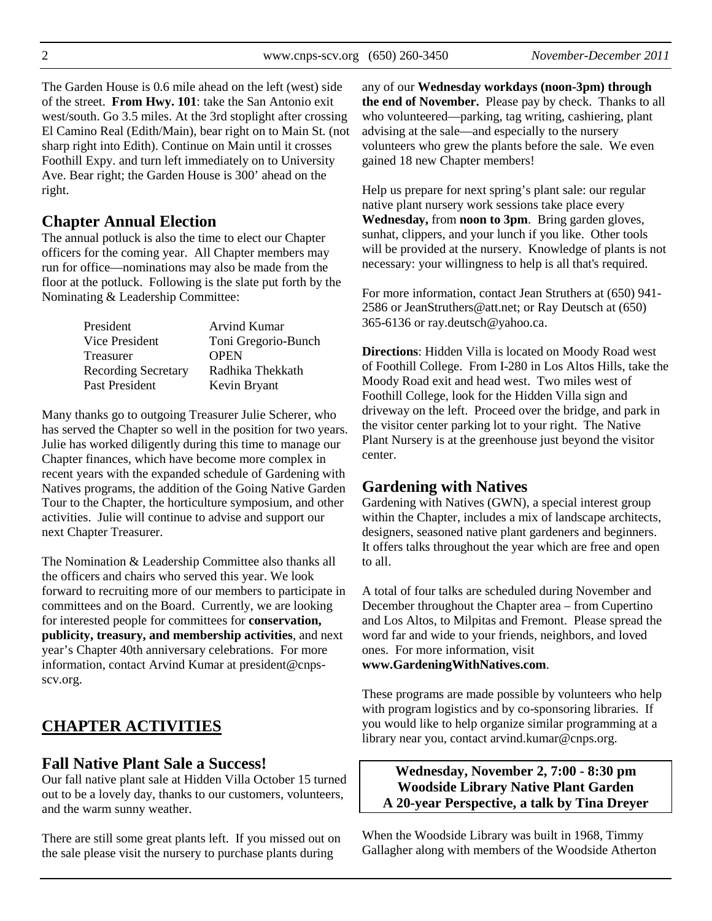The Garden House is 0.6 mile ahead on the left (west) side of the street. **From Hwy. 101**: take the San Antonio exit west/south. Go 3.5 miles. At the 3rd stoplight after crossing El Camino Real (Edith/Main), bear right on to Main St. (not sharp right into Edith). Continue on Main until it crosses Foothill Expy. and turn left immediately on to University Ave. Bear right; the Garden House is 300' ahead on the right.

# **Chapter Annual Election**

The annual potluck is also the time to elect our Chapter officers for the coming year. All Chapter members may run for office—nominations may also be made from the floor at the potluck. Following is the slate put forth by the Nominating & Leadership Committee:

| President                  | <b>Arvind Kumar</b> |
|----------------------------|---------------------|
| Vice President             | Toni Gregorio-Bunch |
| Treasurer                  | <b>OPEN</b>         |
| <b>Recording Secretary</b> | Radhika Thekkath    |
| Past President             | Kevin Bryant        |

Many thanks go to outgoing Treasurer Julie Scherer, who has served the Chapter so well in the position for two years. Julie has worked diligently during this time to manage our Chapter finances, which have become more complex in recent years with the expanded schedule of Gardening with Natives programs, the addition of the Going Native Garden Tour to the Chapter, the horticulture symposium, and other activities. Julie will continue to advise and support our next Chapter Treasurer.

The Nomination & Leadership Committee also thanks all the officers and chairs who served this year. We look forward to recruiting more of our members to participate in committees and on the Board. Currently, we are looking for interested people for committees for **conservation, publicity, treasury, and membership activities**, and next year's Chapter 40th anniversary celebrations. For more information, contact Arvind Kumar at president@cnpsscv.org.

# **CHAPTER ACTIVITIES**

# **Fall Native Plant Sale a Success!**

Our fall native plant sale at Hidden Villa October 15 turned out to be a lovely day, thanks to our customers, volunteers, and the warm sunny weather.

There are still some great plants left. If you missed out on the sale please visit the nursery to purchase plants during

any of our **Wednesday workdays (noon-3pm) through the end of November.** Please pay by check. Thanks to all who volunteered—parking, tag writing, cashiering, plant advising at the sale—and especially to the nursery volunteers who grew the plants before the sale. We even gained 18 new Chapter members!

Help us prepare for next spring's plant sale: our regular native plant nursery work sessions take place every **Wednesday,** from **noon to 3pm**. Bring garden gloves, sunhat, clippers, and your lunch if you like. Other tools will be provided at the nursery. Knowledge of plants is not necessary: your willingness to help is all that's required.

For more information, contact Jean Struthers at (650) 941- 2586 or JeanStruthers@att.net; or Ray Deutsch at (650) 365-6136 or ray.deutsch@yahoo.ca.

**Directions**: Hidden Villa is located on Moody Road west of Foothill College. From I-280 in Los Altos Hills, take the Moody Road exit and head west. Two miles west of Foothill College, look for the Hidden Villa sign and driveway on the left. Proceed over the bridge, and park in the visitor center parking lot to your right. The Native Plant Nursery is at the greenhouse just beyond the visitor center.

# **Gardening with Natives**

Gardening with Natives (GWN), a special interest group within the Chapter, includes a mix of landscape architects, designers, seasoned native plant gardeners and beginners. It offers talks throughout the year which are free and open to all.

A total of four talks are scheduled during November and December throughout the Chapter area – from Cupertino and Los Altos, to Milpitas and Fremont. Please spread the word far and wide to your friends, neighbors, and loved ones. For more information, visit **www.GardeningWithNatives.com**.

These programs are made possible by volunteers who help with program logistics and by co-sponsoring libraries. If you would like to help organize similar programming at a library near you, contact arvind.kumar@cnps.org.

**Wednesday, November 2, 7:00 - 8:30 pm Woodside Library Native Plant Garden A 20-year Perspective, a talk by Tina Dreyer** 

When the Woodside Library was built in 1968, Timmy Gallagher along with members of the Woodside Atherton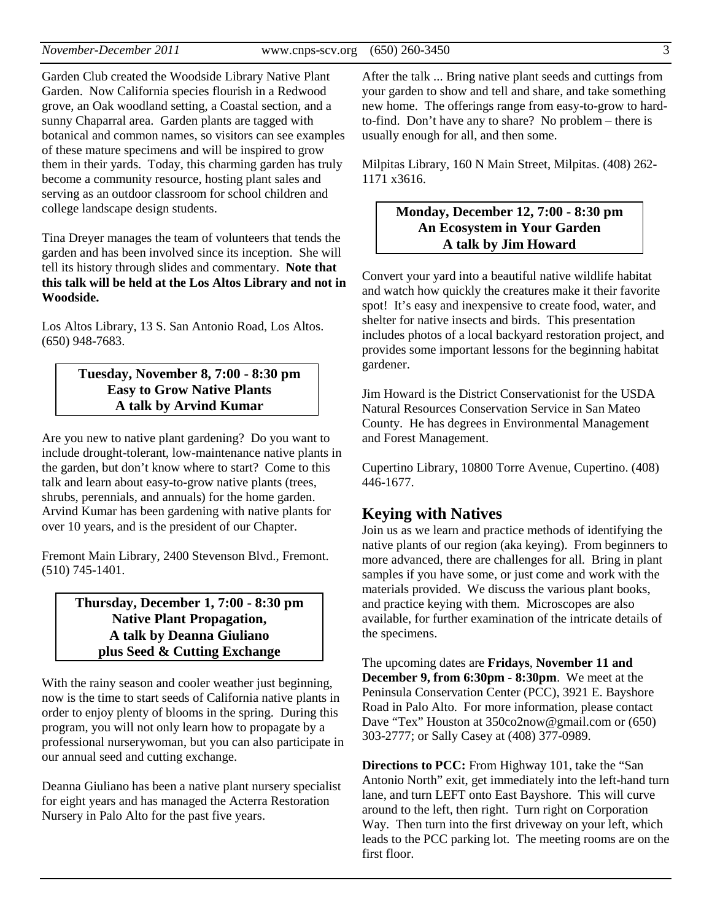Garden Club created the Woodside Library Native Plant Garden. Now California species flourish in a Redwood grove, an Oak woodland setting, a Coastal section, and a sunny Chaparral area. Garden plants are tagged with botanical and common names, so visitors can see examples of these mature specimens and will be inspired to grow them in their yards. Today, this charming garden has truly become a community resource, hosting plant sales and serving as an outdoor classroom for school children and college landscape design students.

Tina Dreyer manages the team of volunteers that tends the garden and has been involved since its inception. She will tell its history through slides and commentary. **Note that this talk will be held at the Los Altos Library and not in Woodside.** 

Los Altos Library, 13 S. San Antonio Road, Los Altos. (650) 948-7683.

#### **Tuesday, November 8, 7:00 - 8:30 pm Easy to Grow Native Plants A talk by Arvind Kumar**

Are you new to native plant gardening? Do you want to include drought-tolerant, low-maintenance native plants in the garden, but don't know where to start? Come to this talk and learn about easy-to-grow native plants (trees, shrubs, perennials, and annuals) for the home garden. Arvind Kumar has been gardening with native plants for over 10 years, and is the president of our Chapter.

Fremont Main Library, 2400 Stevenson Blvd., Fremont. (510) 745-1401.

> **Thursday, December 1, 7:00 - 8:30 pm Native Plant Propagation, A talk by Deanna Giuliano plus Seed & Cutting Exchange**

With the rainy season and cooler weather just beginning, now is the time to start seeds of California native plants in order to enjoy plenty of blooms in the spring. During this program, you will not only learn how to propagate by a professional nurserywoman, but you can also participate in our annual seed and cutting exchange.

Deanna Giuliano has been a native plant nursery specialist for eight years and has managed the Acterra Restoration Nursery in Palo Alto for the past five years.

After the talk ... Bring native plant seeds and cuttings from your garden to show and tell and share, and take something new home. The offerings range from easy-to-grow to hardto-find. Don't have any to share? No problem – there is usually enough for all, and then some.

Milpitas Library, 160 N Main Street, Milpitas. (408) 262- 1171 x3616.

#### **Monday, December 12, 7:00 - 8:30 pm An Ecosystem in Your Garden A talk by Jim Howard**

Convert your yard into a beautiful native wildlife habitat and watch how quickly the creatures make it their favorite spot! It's easy and inexpensive to create food, water, and shelter for native insects and birds. This presentation includes photos of a local backyard restoration project, and provides some important lessons for the beginning habitat gardener.

Jim Howard is the District Conservationist for the USDA Natural Resources Conservation Service in San Mateo County. He has degrees in Environmental Management and Forest Management.

Cupertino Library, 10800 Torre Avenue, Cupertino. (408) 446-1677.

## **Keying with Natives**

Join us as we learn and practice methods of identifying the native plants of our region (aka keying). From beginners to more advanced, there are challenges for all. Bring in plant samples if you have some, or just come and work with the materials provided. We discuss the various plant books, and practice keying with them. Microscopes are also available, for further examination of the intricate details of the specimens.

The upcoming dates are **Fridays**, **November 11 and December 9, from 6:30pm - 8:30pm**. We meet at the Peninsula Conservation Center (PCC), 3921 E. Bayshore Road in Palo Alto. For more information, please contact Dave "Tex" Houston at 350co2now@gmail.com or (650) 303-2777; or Sally Casey at (408) 377-0989.

**Directions to PCC:** From Highway 101, take the "San Antonio North" exit, get immediately into the left-hand turn lane, and turn LEFT onto East Bayshore. This will curve around to the left, then right. Turn right on Corporation Way. Then turn into the first driveway on your left, which leads to the PCC parking lot. The meeting rooms are on the first floor.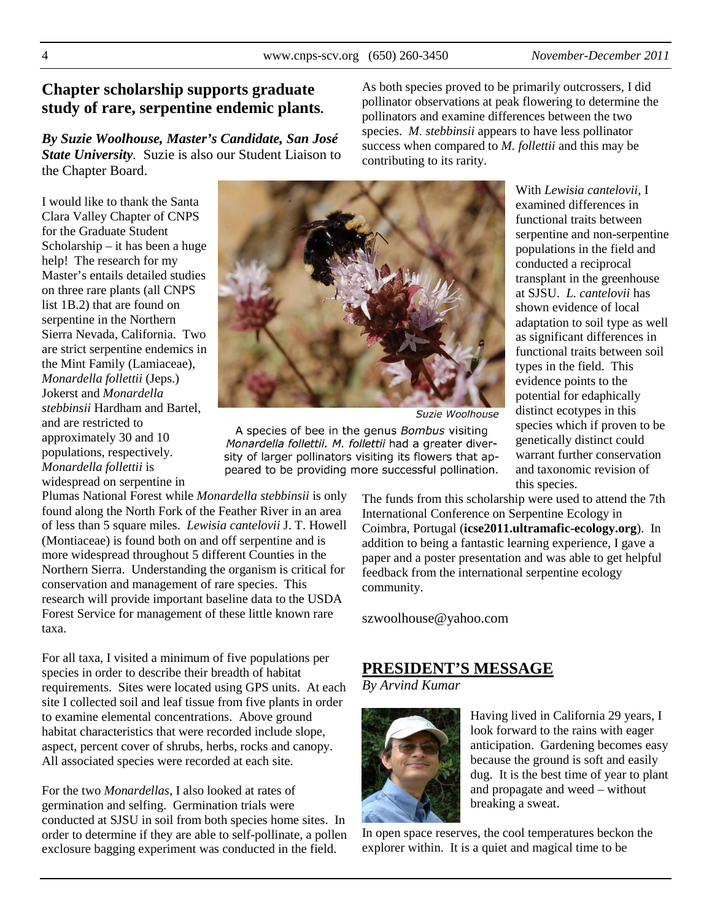## **Chapter scholarship supports graduate study of rare, serpentine endemic plants.**

*By Suzie Woolhouse, Master's Candidate, San José State University.* Suzie is also our Student Liaison to the Chapter Board.

I would like to thank the Santa Clara Valley Chapter of CNPS for the Graduate Student Scholarship – it has been a huge help! The research for my Master's entails detailed studies on three rare plants (all CNPS list 1B.2) that are found on serpentine in the Northern Sierra Nevada, California. Two are strict serpentine endemics in the Mint Family (Lamiaceae), *Monardella follettii* (Jeps.) Jokerst and *Monardella stebbinsii* Hardham and Bartel, and are restricted to approximately 30 and 10 populations, respectively. *Monardella follettii* is widespread on serpentine in



Suzie Woolhouse

contributing to its rarity.

A species of bee in the genus Bombus visiting Monardella follettii. M. follettii had a greater diversity of larger pollinators visiting its flowers that appeared to be providing more successful pollination.

With *Lewisia cantelovii*, I examined differences in functional traits between serpentine and non-serpentine populations in the field and conducted a reciprocal transplant in the greenhouse at SJSU. *L. cantelovii* has shown evidence of local adaptation to soil type as well as significant differences in functional traits between soil types in the field. This evidence points to the potential for edaphically distinct ecotypes in this species which if proven to be genetically distinct could warrant further conservation and taxonomic revision of this species.

Plumas National Forest while *Monardella stebbinsii* is only found along the North Fork of the Feather River in an area of less than 5 square miles. *Lewisia cantelovii* J. T. Howell (Montiaceae) is found both on and off serpentine and is more widespread throughout 5 different Counties in the Northern Sierra. Understanding the organism is critical for conservation and management of rare species. This research will provide important baseline data to the USDA Forest Service for management of these little known rare taxa.

For all taxa, I visited a minimum of five populations per species in order to describe their breadth of habitat requirements. Sites were located using GPS units. At each site I collected soil and leaf tissue from five plants in order to examine elemental concentrations. Above ground habitat characteristics that were recorded include slope, aspect, percent cover of shrubs, herbs, rocks and canopy. All associated species were recorded at each site.

For the two *Monardellas*, I also looked at rates of germination and selfing. Germination trials were conducted at SJSU in soil from both species home sites. In order to determine if they are able to self-pollinate, a pollen exclosure bagging experiment was conducted in the field.

The funds from this scholarship were used to attend the 7th International Conference on Serpentine Ecology in Coimbra, Portugal (**icse2011.ultramafic-ecology.org**). In addition to being a fantastic learning experience, I gave a paper and a poster presentation and was able to get helpful feedback from the international serpentine ecology community.

As both species proved to be primarily outcrossers, I did pollinator observations at peak flowering to determine the pollinators and examine differences between the two species. *M. stebbinsii* appears to have less pollinator success when compared to *M. follettii* and this may be

szwoolhouse@yahoo.com

## **PRESIDENT'S MESSAGE**

*By Arvind Kumar*



Having lived in California 29 years, I look forward to the rains with eager anticipation. Gardening becomes easy because the ground is soft and easily dug. It is the best time of year to plant and propagate and weed – without breaking a sweat.

In open space reserves, the cool temperatures beckon the explorer within. It is a quiet and magical time to be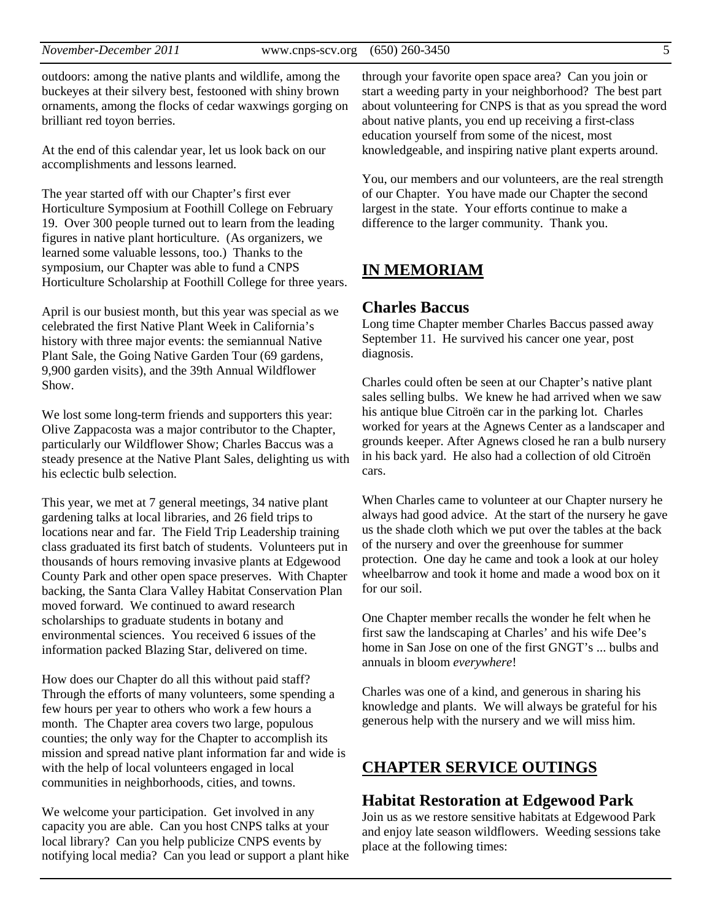outdoors: among the native plants and wildlife, among the buckeyes at their silvery best, festooned with shiny brown ornaments, among the flocks of cedar waxwings gorging on brilliant red toyon berries.

At the end of this calendar year, let us look back on our accomplishments and lessons learned.

The year started off with our Chapter's first ever Horticulture Symposium at Foothill College on February 19. Over 300 people turned out to learn from the leading figures in native plant horticulture. (As organizers, we learned some valuable lessons, too.) Thanks to the symposium, our Chapter was able to fund a CNPS Horticulture Scholarship at Foothill College for three years.

April is our busiest month, but this year was special as we celebrated the first Native Plant Week in California's history with three major events: the semiannual Native Plant Sale, the Going Native Garden Tour (69 gardens, 9,900 garden visits), and the 39th Annual Wildflower Show.

We lost some long-term friends and supporters this year: Olive Zappacosta was a major contributor to the Chapter, particularly our Wildflower Show; Charles Baccus was a steady presence at the Native Plant Sales, delighting us with his eclectic bulb selection.

This year, we met at 7 general meetings, 34 native plant gardening talks at local libraries, and 26 field trips to locations near and far. The Field Trip Leadership training class graduated its first batch of students. Volunteers put in thousands of hours removing invasive plants at Edgewood County Park and other open space preserves. With Chapter backing, the Santa Clara Valley Habitat Conservation Plan moved forward. We continued to award research scholarships to graduate students in botany and environmental sciences. You received 6 issues of the information packed Blazing Star, delivered on time.

How does our Chapter do all this without paid staff? Through the efforts of many volunteers, some spending a few hours per year to others who work a few hours a month. The Chapter area covers two large, populous counties; the only way for the Chapter to accomplish its mission and spread native plant information far and wide is with the help of local volunteers engaged in local communities in neighborhoods, cities, and towns.

We welcome your participation. Get involved in any capacity you are able. Can you host CNPS talks at your local library? Can you help publicize CNPS events by notifying local media? Can you lead or support a plant hike

through your favorite open space area? Can you join or start a weeding party in your neighborhood? The best part about volunteering for CNPS is that as you spread the word about native plants, you end up receiving a first-class education yourself from some of the nicest, most knowledgeable, and inspiring native plant experts around.

You, our members and our volunteers, are the real strength of our Chapter. You have made our Chapter the second largest in the state. Your efforts continue to make a difference to the larger community. Thank you.

## **IN MEMORIAM**

#### **Charles Baccus**

Long time Chapter member Charles Baccus passed away September 11. He survived his cancer one year, post diagnosis.

Charles could often be seen at our Chapter's native plant sales selling bulbs. We knew he had arrived when we saw his antique blue Citroën car in the parking lot. Charles worked for years at the Agnews Center as a landscaper and grounds keeper. After Agnews closed he ran a bulb nursery in his back yard. He also had a collection of old Citroën cars.

When Charles came to volunteer at our Chapter nursery he always had good advice. At the start of the nursery he gave us the shade cloth which we put over the tables at the back of the nursery and over the greenhouse for summer protection. One day he came and took a look at our holey wheelbarrow and took it home and made a wood box on it for our soil.

One Chapter member recalls the wonder he felt when he first saw the landscaping at Charles' and his wife Dee's home in San Jose on one of the first GNGT's ... bulbs and annuals in bloom *everywhere*!

Charles was one of a kind, and generous in sharing his knowledge and plants. We will always be grateful for his generous help with the nursery and we will miss him.

## **CHAPTER SERVICE OUTINGS**

#### **Habitat Restoration at Edgewood Park**

Join us as we restore sensitive habitats at Edgewood Park and enjoy late season wildflowers. Weeding sessions take place at the following times: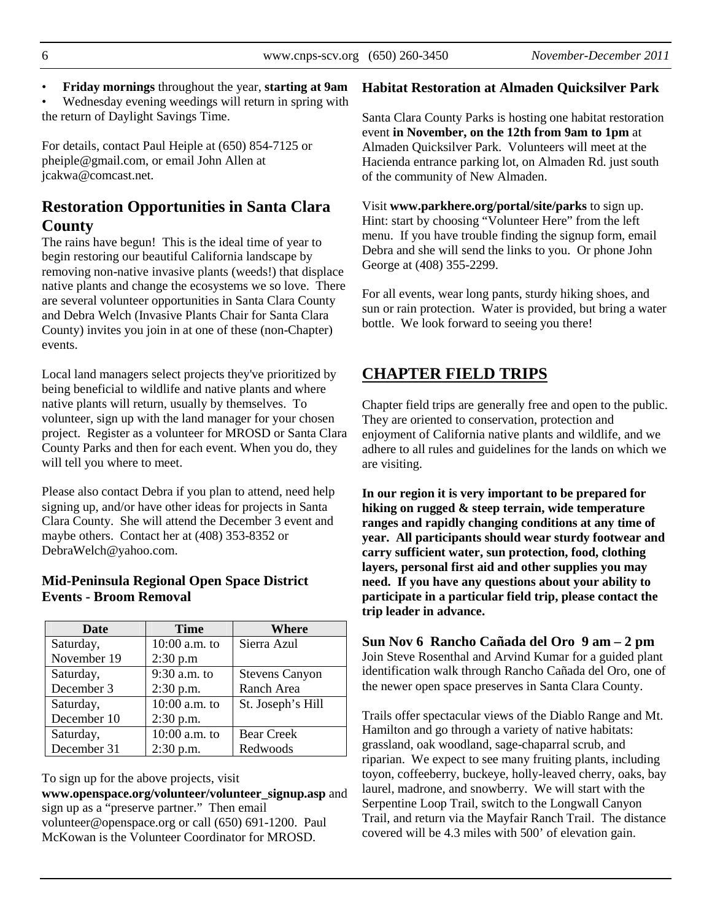• **Friday mornings** throughout the year, **starting at 9am**

• Wednesday evening weedings will return in spring with the return of Daylight Savings Time.

For details, contact Paul Heiple at (650) 854-7125 or pheiple@gmail.com, or email John Allen at jcakwa@comcast.net.

## **Restoration Opportunities in Santa Clara County**

The rains have begun! This is the ideal time of year to begin restoring our beautiful California landscape by removing non-native invasive plants (weeds!) that displace native plants and change the ecosystems we so love. There are several volunteer opportunities in Santa Clara County and Debra Welch (Invasive Plants Chair for Santa Clara County) invites you join in at one of these (non-Chapter) events.

Local land managers select projects they've prioritized by being beneficial to wildlife and native plants and where native plants will return, usually by themselves. To volunteer, sign up with the land manager for your chosen project. Register as a volunteer for MROSD or Santa Clara County Parks and then for each event. When you do, they will tell you where to meet.

Please also contact Debra if you plan to attend, need help signing up, and/or have other ideas for projects in Santa Clara County. She will attend the December 3 event and maybe others. Contact her at (408) 353-8352 or DebraWelch@yahoo.com.

### **Mid-Peninsula Regional Open Space District Events - Broom Removal**

| <b>Date</b> | Time          | Where                 |
|-------------|---------------|-----------------------|
| Saturday,   | 10:00 a.m. to | Sierra Azul           |
| November 19 | 2:30 p.m      |                       |
| Saturday,   | 9:30 a.m. to  | <b>Stevens Canyon</b> |
| December 3  | $2:30$ p.m.   | Ranch Area            |
| Saturday,   | 10:00 a.m. to | St. Joseph's Hill     |
| December 10 | $2:30$ p.m.   |                       |
| Saturday,   | 10:00 a.m. to | <b>Bear Creek</b>     |
| December 31 | $2:30$ p.m.   | Redwoods              |

To sign up for the above projects, visit

**www.openspace.org/volunteer/volunteer\_signup.asp** and sign up as a "preserve partner." Then email volunteer@openspace.org or call (650) 691-1200. Paul McKowan is the Volunteer Coordinator for MROSD.

#### **Habitat Restoration at Almaden Quicksilver Park**

Santa Clara County Parks is hosting one habitat restoration event **in November, on the 12th from 9am to 1pm** at Almaden Quicksilver Park. Volunteers will meet at the Hacienda entrance parking lot, on Almaden Rd. just south of the community of New Almaden.

Visit **www.parkhere.org/portal/site/parks** to sign up. Hint: start by choosing "Volunteer Here" from the left menu. If you have trouble finding the signup form, email Debra and she will send the links to you. Or phone John George at (408) 355-2299.

For all events, wear long pants, sturdy hiking shoes, and sun or rain protection. Water is provided, but bring a water bottle. We look forward to seeing you there!

# **CHAPTER FIELD TRIPS**

Chapter field trips are generally free and open to the public. They are oriented to conservation, protection and enjoyment of California native plants and wildlife, and we adhere to all rules and guidelines for the lands on which we are visiting.

**In our region it is very important to be prepared for hiking on rugged & steep terrain, wide temperature ranges and rapidly changing conditions at any time of year. All participants should wear sturdy footwear and carry sufficient water, sun protection, food, clothing layers, personal first aid and other supplies you may need. If you have any questions about your ability to participate in a particular field trip, please contact the trip leader in advance.** 

**Sun Nov 6 Rancho Cañada del Oro 9 am – 2 pm**  Join Steve Rosenthal and Arvind Kumar for a guided plant identification walk through Rancho Cañada del Oro, one of the newer open space preserves in Santa Clara County.

Trails offer spectacular views of the Diablo Range and Mt. Hamilton and go through a variety of native habitats: grassland, oak woodland, sage-chaparral scrub, and riparian. We expect to see many fruiting plants, including toyon, coffeeberry, buckeye, holly-leaved cherry, oaks, bay laurel, madrone, and snowberry. We will start with the Serpentine Loop Trail, switch to the Longwall Canyon Trail, and return via the Mayfair Ranch Trail. The distance covered will be 4.3 miles with 500' of elevation gain.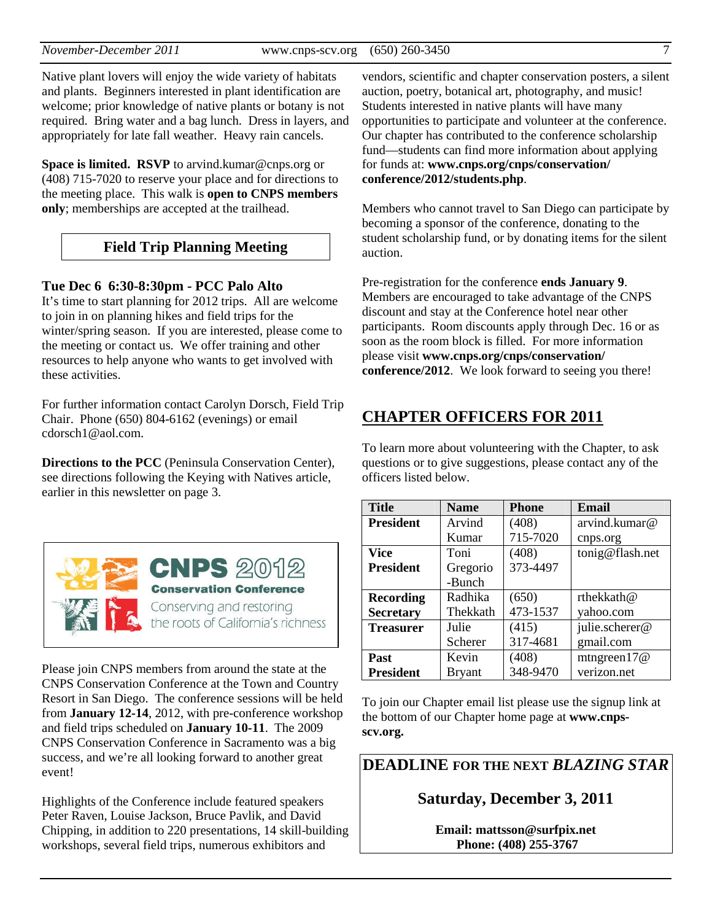Native plant lovers will enjoy the wide variety of habitats and plants. Beginners interested in plant identification are welcome; prior knowledge of native plants or botany is not required. Bring water and a bag lunch. Dress in layers, and appropriately for late fall weather. Heavy rain cancels.

**Space is limited. RSVP** to arvind.kumar@cnps.org or (408) 715-7020 to reserve your place and for directions to the meeting place. This walk is **open to CNPS members only**; memberships are accepted at the trailhead.

# **Field Trip Planning Meeting**

**Tue Dec 6 6:30-8:30pm - PCC Palo Alto**

It's time to start planning for 2012 trips. All are welcome to join in on planning hikes and field trips for the winter/spring season. If you are interested, please come to the meeting or contact us. We offer training and other resources to help anyone who wants to get involved with these activities.

For further information contact Carolyn Dorsch, Field Trip Chair. Phone (650) 804-6162 (evenings) or email cdorsch1@aol.com.

**Directions to the PCC** (Peninsula Conservation Center), see directions following the Keying with Natives article, earlier in this newsletter on page 3.



Please join CNPS members from around the state at the CNPS Conservation Conference at the Town and Country Resort in San Diego. The conference sessions will be held from **January 12-14**, 2012, with pre-conference workshop and field trips scheduled on **January 10-11**. The 2009 CNPS Conservation Conference in Sacramento was a big success, and we're all looking forward to another great event!

Highlights of the Conference include featured speakers Peter Raven, Louise Jackson, Bruce Pavlik, and David Chipping, in addition to 220 presentations, 14 skill-building workshops, several field trips, numerous exhibitors and

vendors, scientific and chapter conservation posters, a silent auction, poetry, botanical art, photography, and music! Students interested in native plants will have many opportunities to participate and volunteer at the conference. Our chapter has contributed to the conference scholarship fund—students can find more information about applying for funds at: **www.cnps.org/cnps/conservation/ conference/2012/students.php**.

Members who cannot travel to San Diego can participate by becoming a sponsor of the conference, donating to the student scholarship fund, or by donating items for the silent auction.

Pre-registration for the conference **ends January 9**. Members are encouraged to take advantage of the CNPS discount and stay at the Conference hotel near other participants. Room discounts apply through Dec. 16 or as soon as the room block is filled. For more information please visit **www.cnps.org/cnps/conservation/ conference/2012**. We look forward to seeing you there!

# **CHAPTER OFFICERS FOR 2011**

To learn more about volunteering with the Chapter, to ask questions or to give suggestions, please contact any of the officers listed below.

| <b>Title</b>     | <b>Name</b>   | <b>Phone</b> | <b>Email</b>    |
|------------------|---------------|--------------|-----------------|
| <b>President</b> | Arvind        | (408)        | arvind.kumar@   |
|                  | Kumar         | 715-7020     | cnps.org        |
| Vice             | Toni          | (408)        | tonig@flash.net |
| <b>President</b> | Gregorio      | 373-4497     |                 |
|                  | -Bunch        |              |                 |
| <b>Recording</b> | Radhika       | (650)        | rthekkath@      |
| <b>Secretary</b> | Thekkath      | 473-1537     | yahoo.com       |
| <b>Treasurer</b> | Julie         | (415)        | julie.scherer@  |
|                  | Scherer       | 317-4681     | gmail.com       |
| Past             | Kevin         | (408)        | mtngreen $17@$  |
| <b>President</b> | <b>Bryant</b> | 348-9470     | verizon.net     |

To join our Chapter email list please use the signup link at the bottom of our Chapter home page at **www.cnpsscv.org.**

**DEADLINE FOR THE NEXT** *BLAZING STAR* 

**Saturday, December 3, 2011** 

**Email: mattsson@surfpix.net Phone: (408) 255-3767**